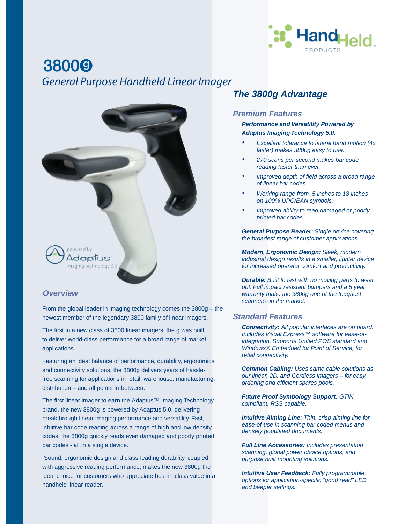

# **38000** *General Purpose Handheld Linear Imager*



### *Overview*

From the global leader in imaging technology comes the 3800g – the newest member of the legendary 3800 family of linear imagers.

The first in a new class of 3800 linear imagers, the g was built to deliver world-class performance for a broad range of market applications.

Featuring an ideal balance of performance, durability, ergonomics, and connectivity solutions, the 3800g delivers years of hasslefree scanning for applications in retail, warehouse, manufacturing, distribution – and all points in-between.

The first linear imager to earn the Adaptus™ Imaging Technology brand, the new 3800g is powered by Adaptus 5.0, delivering breakthrough linear imaging performance and versatility. Fast, intuitive bar code reading across a range of high and low density codes, the 3800g quickly reads even damaged and poorly printed bar codes - all in a single device.

 Sound, ergonomic design and class-leading durability, coupled with aggressive reading performance, makes the new 3800g the ideal choice for customers who appreciate best-in-class value in a handheld linear reader.

# *The 3800g Advantage*

#### *Premium Features*

*Performance and Versatility Powered by Adaptus Imaging Technology 5.0:* 

- *Excellent tolerance to lateral hand motion (4x faster) makes 3800g easy to use.*
- *270 scans per second makes bar code reading faster than ever.*
- *Improved depth of field across a broad range of linear bar codes.*
- *Working range from .5 inches to 18 inches on 100% UPC/EAN symbols.*
- *Improved ability to read damaged or poorly printed bar codes.*

*General Purpose Reader: Single device covering the broadest range of customer applications.*

*Modern, Ergonomic Design: Sleek, modern industrial design results in a smaller, lighter device for increased operator comfort and productivity.*

*Durable: Built to last with no moving parts to wear out. Full impact resistant bumpers and a 5 year warranty make the 3800g one of the toughest scanners on the market.*

## *Standard Features*

*Connectivity: All popular interfaces are on board. Includes Visual Express™ software for ease-of*integration. Supports Unified POS standard and *Windows® Embedded for Point of Service, for retail connectivity.*

*Common Cabling: Uses same cable solutions as our linear, 2D, and Cordless imagers – for easy ordering and efficient spares pools.* 

*Future Proof Symbology Support: GTIN compliant, RSS capable.*

*Intuitive Aiming Line: Thin, crisp aiming line for ease-of-use in scanning bar coded menus and densely populated documents.*

*Full Line Accessories: Includes presentation scanning, global power choice options, and purpose built mounting solutions.*

*Intuitive User Feedback: Fully programmable options for application-specific "good read" LED and beeper settings.*